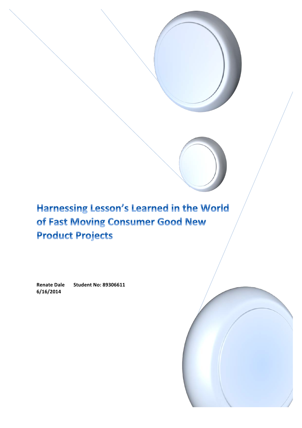# Harnessing Lesson's Learned in the World of Fast Moving Consumer Good New **Product Projects**

**Renate Dale Student No: 89306611 6/16/2014**

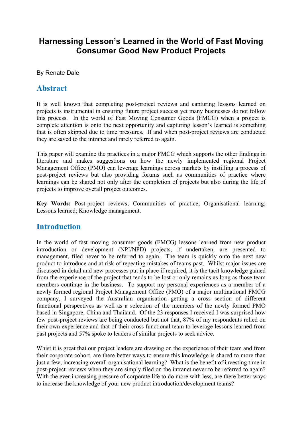# **Harnessing Lesson's Learned in the World of Fast Moving Consumer Good New Product Projects**

#### By Renate Dale

### **Abstract**

It is well known that completing post-project reviews and capturing lessons learned on projects is instrumental in ensuring future project success yet many businesses do not follow this process. In the world of Fast Moving Consumer Goods (FMCG) when a project is complete attention is onto the next opportunity and capturing lesson's learned is something that is often skipped due to time pressures. If and when post-project reviews are conducted they are saved to the intranet and rarely referred to again.

This paper will examine the practices in a major FMCG which supports the other findings in literature and makes suggestions on how the newly implemented regional Project Management Office (PMO) can leverage learnings across markets by instilling a process of post-project reviews but also providing forums such as communities of practice where learnings can be shared not only after the completion of projects but also during the life of projects to improve overall project outcomes.

**Key Words:** Post-project reviews; Communities of practice; Organisational learning; Lessons learned; Knowledge management.

## **Introduction**

In the world of fast moving consumer goods (FMCG) lessons learned from new product introduction or development (NPI/NPD) projects, if undertaken, are presented to management, filed never to be referred to again. The team is quickly onto the next new product to introduce and at risk of repeating mistakes of teams past. Whilst major issues are discussed in detail and new processes put in place if required, it is the tacit knowledge gained from the experience of the project that tends to be lost or only remains as long as those team members continue in the business. To support my personal experiences as a member of a newly formed regional Project Management Office (PMO) of a major multinational FMCG company, I surveyed the Australian organisation getting a cross section of different functional perspectives as well as a selection of the members of the newly formed PMO based in Singapore, China and Thailand. Of the 23 responses I received I was surprised how few post-project reviews are being conducted but not that, 87% of my respondents relied on their own experience and that of their cross functional team to leverage lessons learned from past projects and 57% spoke to leaders of similar projects to seek advice.

Whist it is great that our project leaders are drawing on the experience of their team and from their corporate cohort, are there better ways to ensure this knowledge is shared to more than just a few, increasing overall organisational learning? What is the benefit of investing time in post-project reviews when they are simply filed on the intranet never to be referred to again? With the ever increasing pressure of corporate life to do more with less, are there better ways to increase the knowledge of your new product introduction/development teams?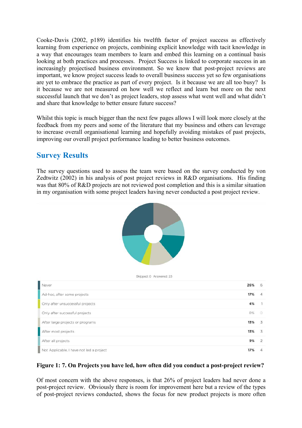Cooke-Davis (2002, p189) identifies his twelfth factor of project success as effectively learning from experience on projects, combining explicit knowledge with tacit knowledge in a way that encourages team members to learn and embed this learning on a continual basis looking at both practices and processes. Project Success is linked to corporate success in an increasingly projectised business environment. So we know that post-project reviews are important, we know project success leads to overall business success yet so few organisations are yet to embrace the practice as part of every project. Is it because we are all too busy? Is it because we are not measured on how well we reflect and learn but more on the next successful launch that we don't as project leaders, stop assess what went well and what didn't and share that knowledge to better ensure future success?

Whilst this topic is much bigger than the next few pages allows I will look more closely at the feedback from my peers and some of the literature that my business and others can leverage to increase overall organisational learning and hopefully avoiding mistakes of past projects, improving our overall project performance leading to better business outcomes.

# **Survey Results**

The survey questions used to assess the team were based on the survey conducted by von Zedtwitz (2002) in his analysis of post project reviews in R&D organisations. His finding was that 80% of R&D projects are not reviewed post completion and this is a similar situation in my organisation with some project leaders having never conducted a post project review.



#### **Figure 1: 7. On Projects you have led, how often did you conduct a post-project review?**

Of most concern with the above responses, is that 26% of project leaders had never done a post-project review. Obviously there is room for improvement here but a review of the types of post-project reviews conducted, shows the focus for new product projects is more often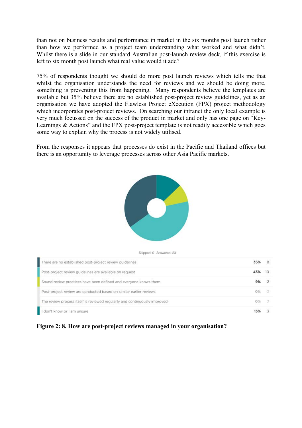than not on business results and performance in market in the six months post launch rather than how we performed as a project team understanding what worked and what didn't. Whilst there is a slide in our standard Australian post-launch review deck, if this exercise is left to six month post launch what real value would it add?

75% of respondents thought we should do more post launch reviews which tells me that whilst the organisation understands the need for reviews and we should be doing more, something is preventing this from happening. Many respondents believe the templates are available but 35% believe there are no established post-project review guidelines, yet as an organisation we have adopted the Flawless Project eXecution (FPX) project methodology which incorporates post-project reviews. On searching our intranet the only local example is very much focussed on the success of the product in market and only has one page on "Key-Learnings & Actions" and the FPX post-project template is not readily accessible which goes some way to explain why the process is not widely utilised.

From the responses it appears that processes do exist in the Pacific and Thailand offices but there is an opportunity to leverage processes across other Asia Pacific markets.



Skipped: 0 Answered: 23

| There are no established post-project review guidelines                   | 35% | 8  |  |
|---------------------------------------------------------------------------|-----|----|--|
| Post-project review guidelines are available on request                   | 43% | 10 |  |
| Sound review practices have been defined and everyone knows them          | 9%  |    |  |
| Post-project review are conducted based on similar earlier reviews        | 0%  |    |  |
| The review process itself is reviewed regularly and continuously improved | 0%  |    |  |
| don't know or I am unsure                                                 | 13% |    |  |

#### **Figure 2: 8. How are post-project reviews managed in your organisation?**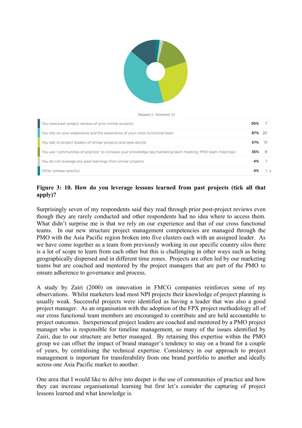

Skipped: 0 Answered: 23

| You read post-project reviews of prior similar projects                                                     | 30%    | -7 |  |
|-------------------------------------------------------------------------------------------------------------|--------|----|--|
| You rely on your experience and the experience of your cross functional team                                | 87% 20 |    |  |
| You talk to project leaders of similar projects and seek advice                                             | 57% 13 |    |  |
| You use "communities of practice" to increase your knowledge (eg marketing team meeting, PMO team meetings) | 35%    | 8  |  |
| You do not leverage any past learnings from similar projects                                                | 4%     |    |  |
| Other (please specify)                                                                                      |        |    |  |

#### **Figure 3: 10. How do you leverage lessons learned from past projects (tick all that apply)?**

Surprisingly seven of my respondents said they read through prior post-project reviews even though they are rarely conducted and other respondents had no idea where to access them. What didn't surprise me is that we rely on our experience and that of our cross functional teams. In our new structure project management competencies are managed through the PMO with the Asia Pacific region broken into five clusters each with an assigned leader. As we have come together as a team from previously working in our specific country silos there is a lot of scope to learn from each other but this is challenging in other ways such as being geographically dispersed and in different time zones. Projects are often led by our marketing teams but are coached and mentored by the project managers that are part of the PMO to ensure adherence to governance and process.

A study by Zairi (2000) on innovation in FMCG companies reinforces some of my observations. Whilst marketers lead most NPI projects their knowledge of project planning is usually weak. Successful projects were identified as having a leader that was also a good project manager. As an organisation with the adoption of the FPX project methodology all of our cross functional team members are encouraged to contribute and are held accountable to project outcomes. Inexperienced project leaders are coached and mentored by a PMO project manager who is responsible for timeline management, so many of the issues identified by Zairi, due to our structure are better managed. By retaining this expertise within the PMO group we can offset the impact of brand manager's tendency to stay on a brand for a couple of years, by centralising the technical expertise. Consistency in our approach to project management is important for transferability from one brand portfolio to another and ideally across one Asia Pacific market to another.

One area that I would like to delve into deeper is the use of communities of practice and how they can increase organisational learning but first let's consider the capturing of project lessons learned and what knowledge is.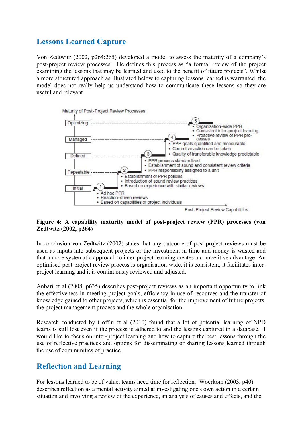# **Lessons Learned Capture**

Von Zedtwitz (2002, p264:265) developed a model to assess the maturity of a company's post-project review processes. He defines this process as "a formal review of the project examining the lessons that may be learned and used to the benefit of future projects". Whilst a more structured approach as illustrated below to capturing lessons learned is warranted, the model does not really help us understand how to communicate these lessons so they are useful and relevant.



#### **Figure 4: A capability maturity model of post-project review (PPR) processes (von Zedtwitz (2002, p264)**

In conclusion von Zedtwitz (2002) states that any outcome of post-project reviews must be used as inputs into subsequent projects or the investment in time and money is wasted and that a more systematic approach to inter-project learning creates a competitive advantage An optimised post-project review process is organisation-wide, it is consistent, it facilitates interproject learning and it is continuously reviewed and adjusted.

Anbari et al (2008, p635) describes post-project reviews as an important opportunity to link the effectiveness in meeting project goals, efficiency in use of resources and the transfer of knowledge gained to other projects, which is essential for the improvement of future projects, the project management process and the whole organisation.

Research conducted by Goffin et al (2010) found that a lot of potential learning of NPD teams is still lost even if the process is adhered to and the lessons captured in a database. I would like to focus on inter-project learning and how to capture the best lessons through the use of reflective practices and options for disseminating or sharing lessons learned through the use of communities of practice.

# **Reflection and Learning**

For lessons learned to be of value, teams need time for reflection. Woerkom (2003, p40) describes reflection as a mental activity aimed at investigating one's own action in a certain situation and involving a review of the experience, an analysis of causes and effects, and the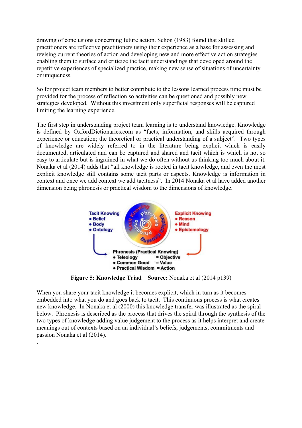drawing of conclusions concerning future action. Schon (1983) found that skilled practitioners are reflective practitioners using their experience as a base for assessing and revising current theories of action and developing new and more effective action strategies enabling them to surface and criticize the tacit understandings that developed around the repetitive experiences of specialized practice, making new sense of situations of uncertainty or uniqueness.

So for project team members to better contribute to the lessons learned process time must be provided for the process of reflection so activities can be questioned and possibly new strategies developed. Without this investment only superficial responses will be captured limiting the learning experience.

The first step in understanding project team learning is to understand knowledge. Knowledge is defined by OxfordDictionaries.com as "facts, information, and skills acquired through experience or education; the theoretical or practical understanding of a subject". Two types of knowledge are widely referred to in the literature being explicit which is easily documented, articulated and can be captured and shared and tacit which is which is not so easy to articulate but is ingrained in what we do often without us thinking too much about it. Nonaka et al (2014) adds that "all knowledge is rooted in tacit knowledge, and even the most explicit knowledge still contains some tacit parts or aspects. Knowledge is information in context and once we add context we add tacitness". In 2014 Nonaka et al have added another dimension being phronesis or practical wisdom to the dimensions of knowledge.



**Figure 5: Knowledge Triad Source:** Nonaka et al (2014 p139)

When you share your tacit knowledge it becomes explicit, which in turn as it becomes embedded into what you do and goes back to tacit. This continuous process is what creates new knowledge. In Nonaka et al (2000) this knowledge transfer was illustrated as the spiral below. Phronesis is described as the process that drives the spiral through the synthesis of the two types of knowledge adding value judgement to the process as it helps interpret and create meanings out of contexts based on an individual's beliefs, judgements, commitments and passion Nonaka et al (2014).

.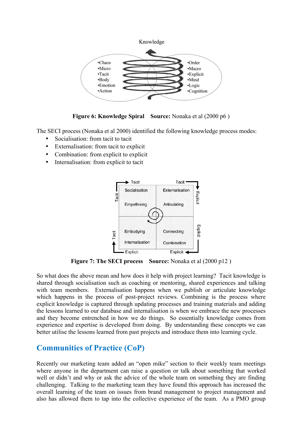



The SECI process (Nonaka et al 2000) identified the following knowledge process modes:

- Socialisation: from tacit to tacit
- Externalisation: from tacit to explicit
- Combination: from explicit to explicit
- Internalisation: from explicit to tacit



**Figure 7: The SECI process Source:** Nonaka et al (2000 p12 )

So what does the above mean and how does it help with project learning? Tacit knowledge is shared through socialisation such as coaching or mentoring, shared experiences and talking with team members. Externalisation happens when we publish or articulate knowledge which happens in the process of post-project reviews. Combining is the process where explicit knowledge is captured through updating processes and training materials and adding the lessons learned to our database and internalisation is when we embrace the new processes and they become entrenched in how we do things. So essentially knowledge comes from experience and expertise is developed from doing. By understanding these concepts we can better utilise the lessons learned from past projects and introduce them into learning cycle.

## **Communities of Practice (CoP)**

Recently our marketing team added an "open mike" section to their weekly team meetings where anyone in the department can raise a question or talk about something that worked well or didn't and why or ask the advice of the whole team on something they are finding challenging. Talking to the marketing team they have found this approach has increased the overall learning of the team on issues from brand management to project management and also has allowed them to tap into the collective experience of the team. As a PMO group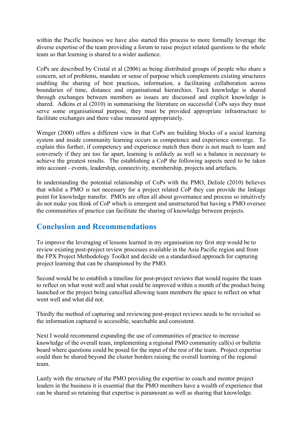within the Pacific business we have also started this process to more formally leverage the diverse expertise of the team providing a forum to raise project related questions to the whole team so that learning is shared to a wider audience.

CoPs are described by Cristal et al (2006) as being distributed groups of people who share a concern, set of problems, mandate or sense of purpose which complements existing structures enabling the sharing of best practices, information, a facilitating collaboration across boundaries of time, distance and organisational hierarchies. Tacit knowledge is shared through exchanges between members as issues are discussed and explicit knowledge is shared. Adkins et al (2010) in summarising the literature on successful CoPs says they must serve some organisational purpose, they must be provided appropriate infrastructure to facilitate exchanges and there value measured appropriately.

Wenger (2000) offers a different view in that CoPs are building blocks of a social learning system and inside community learning occurs as competence and experience converge. To explain this further, if competency and experience match then there is not much to learn and conversely if they are too far apart, learning is unlikely as well so a balance is necessary to achieve the greatest results. The establishing a CoP the following aspects need to be taken into account - events, leadership, connectivity, membership, projects and artefacts.

In understanding the potential relationship of CoPs with the PMO, Delisle (2010) believes that whilst a PMO is not necessary for a project related CoP they can provide the linkage point for knowledge transfer. PMOs are often all about governance and process so intuitively do not make you think of CoP which is emergent and unstructured but having a PMO oversee the communities of practice can facilitate the sharing of knowledge between projects.

# **Conclusion and Recommendations**

To improve the leveraging of lessons learned in my organisation my first step would be to review existing post-project review processes available in the Asia Pacific region and from the FPX Project Methodology Toolkit and decide on a standardised approach for capturing project learning that can be championed by the PMO.

Second would be to establish a timeline for post-project reviews that would require the team to reflect on what went well and what could be improved within a month of the product being launched or the project being cancelled allowing team members the space to reflect on what went well and what did not.

Thirdly the method of capturing and reviewing post-project reviews needs to be revisited so the information captured is accessible, searchable and consistent.

Next I would recommend expanding the use of communities of practice to increase knowledge of the overall team, implementing a regional PMO community call(s) or bulletin board where questions could be posed for the input of the rest of the team. Project expertise could then be shared beyond the cluster borders raising the overall learning of the regional team.

Lastly with the structure of the PMO providing the expertise to coach and mentor project leaders in the business it is essential that the PMO members have a wealth of experience that can be shared so retaining that expertise is paramount as well as sharing that knowledge.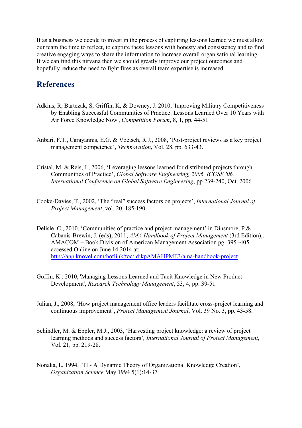If as a business we decide to invest in the process of capturing lessons learned we must allow our team the time to reflect, to capture these lessons with honesty and consistency and to find creative engaging ways to share the information to increase overall organisational learning. If we can find this nirvana then we should greatly improve our project outcomes and hopefully reduce the need to fight fires as overall team expertise is increased.

### **References**

- Adkins, R, Bartczak, S, Griffin, K, & Downey, J. 2010, 'Improving Military Competitiveness by Enabling Successful Communities of Practice: Lessons Learned Over 10 Years with Air Force Knowledge Now', *Competition Forum*, 8, 1, pp. 44-51
- Anbari, F.T., Carayannis, E.G. & Voetsch, R.J., 2008, 'Post-project reviews as a key project management competence', *Technovation*, Vol. 28, pp. 633-43.
- Cristal, M. & Reis, J., 2006, 'Leveraging lessons learned for distributed projects through Communities of Practice', *Global Software Engineering, 2006. ICGSE '06. International Conference on Global Software Engineering*, pp.239-240, Oct. 2006
- Cooke-Davies, T., 2002, 'The "real" success factors on projects', *International Journal of Project Management*, vol. 20, 185-190.
- Delisle, C., 2010, 'Communities of practice and project management' in Dinsmore, P.& Cabanis-Brewin, J. (eds), 2011, *AMA Handbook of Project Management* (3rd Edition),. AMACOM – Book Division of American Management Association pg: 395 -405 accessed Online on June 14 2014 at: http://app.knovel.com/hotlink/toc/id:kpAMAHPME3/ama-handbook-project
- Goffin, K., 2010, 'Managing Lessons Learned and Tacit Knowledge in New Product Development', *Research Technology Management*, 53, 4, pp. 39-51
- Julian, J., 2008, 'How project management office leaders facilitate cross-project learning and continuous improvement', *Project Management Journal*, Vol. 39 No. 3, pp. 43-58.
- Schindler, M. & Eppler, M.J., 2003, 'Harvesting project knowledge: a review of project learning methods and success factors'*, International Journal of Project Management*, Vol. 21, pp. 219-28.
- Nonaka, I., 1994, 'TI A Dynamic Theory of Organizational Knowledge Creation', *Organization Science* May 1994 5(1):14-37